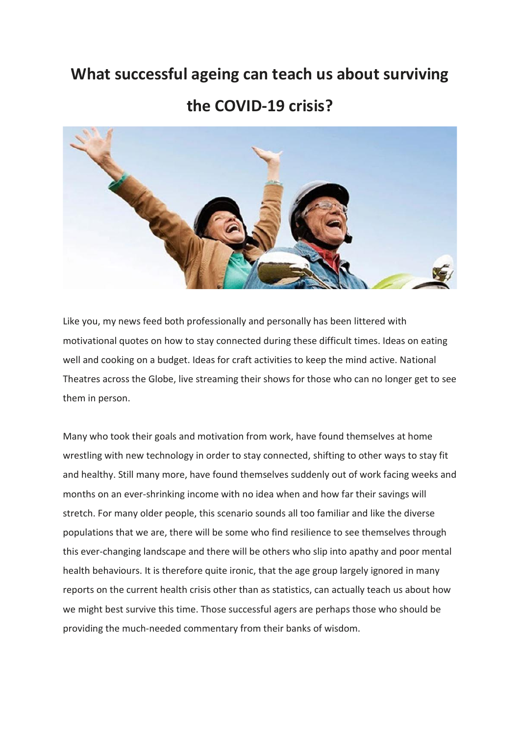# **What successful ageing can teach us about surviving**

## **the COVID-19 crisis?**



Like you, my news feed both professionally and personally has been littered with motivational quotes on how to stay connected during these difficult times. Ideas on eating well and cooking on a budget. Ideas for craft activities to keep the mind active. National Theatres across the Globe, live streaming their shows for those who can no longer get to see them in person.

Many who took their goals and motivation from work, have found themselves at home wrestling with new technology in order to stay connected, shifting to other ways to stay fit and healthy. Still many more, have found themselves suddenly out of work facing weeks and months on an ever-shrinking income with no idea when and how far their savings will stretch. For many older people, this scenario sounds all too familiar and like the diverse populations that we are, there will be some who find resilience to see themselves through this ever-changing landscape and there will be others who slip into apathy and poor mental health behaviours. It is therefore quite ironic, that the age group largely ignored in many reports on the current health crisis other than as statistics, can actually teach us about how we might best survive this time. Those successful agers are perhaps those who should be providing the much-needed commentary from their banks of wisdom.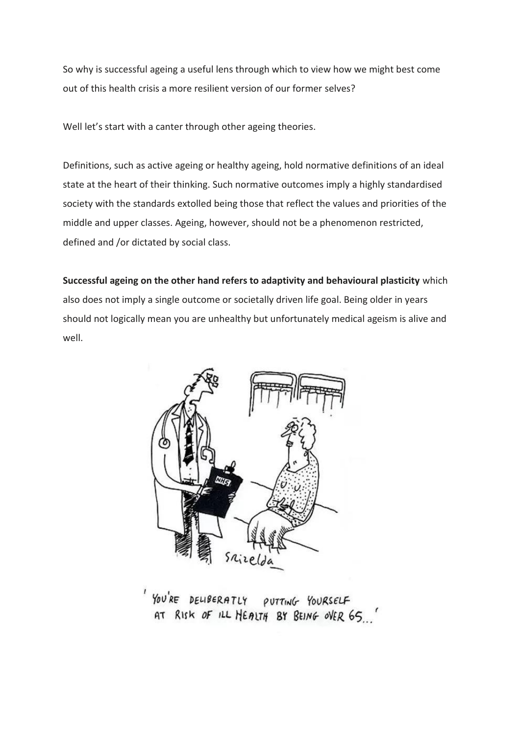So why is successful ageing a useful lens through which to view how we might best come out of this health crisis a more resilient version of our former selves?

Well let's start with a canter through other ageing theories.

Definitions, such as active ageing or healthy ageing, hold normative definitions of an ideal state at the heart of their thinking. Such normative outcomes imply a highly standardised society with the standards extolled being those that reflect the values and priorities of the middle and upper classes. Ageing, however, should not be a phenomenon restricted, defined and /or dictated by social class.

**Successful ageing on the other hand refers to adaptivity and behavioural plasticity** which also does not imply a single outcome or societally driven life goal. Being older in years should not logically mean you are unhealthy but unfortunately medical ageism is alive and well.



YOU'RE DELIBERATLY PUTTING YOURSELF AT RISK OF ILL HEALTH BY BEING OVER 65.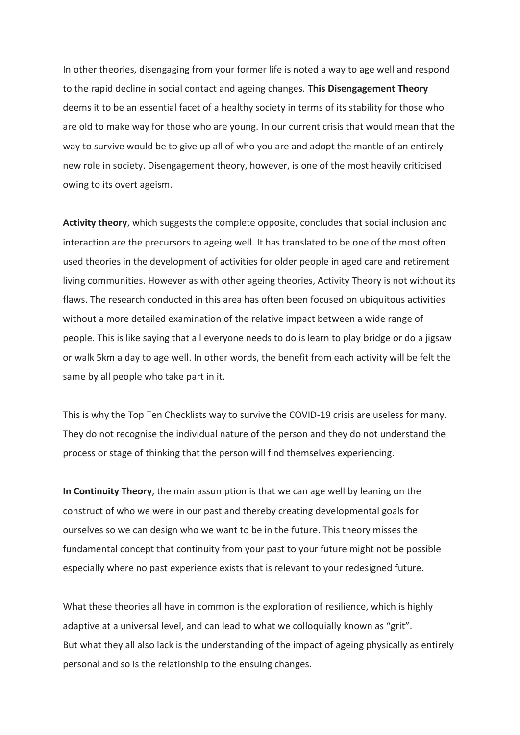In other theories, disengaging from your former life is noted a way to age well and respond to the rapid decline in social contact and ageing changes. **This Disengagement Theory** deems it to be an essential facet of a healthy society in terms of its stability for those who are old to make way for those who are young. In our current crisis that would mean that the way to survive would be to give up all of who you are and adopt the mantle of an entirely new role in society. Disengagement theory, however, is one of the most heavily criticised owing to its overt ageism.

**Activity theory**, which suggests the complete opposite, concludes that social inclusion and interaction are the precursors to ageing well. It has translated to be one of the most often used theories in the development of activities for older people in aged care and retirement living communities. However as with other ageing theories, Activity Theory is not without its flaws. The research conducted in this area has often been focused on ubiquitous activities without a more detailed examination of the relative impact between a wide range of people. This is like saying that all everyone needs to do is learn to play bridge or do a jigsaw or walk 5km a day to age well. In other words, the benefit from each activity will be felt the same by all people who take part in it.

This is why the Top Ten Checklists way to survive the COVID-19 crisis are useless for many. They do not recognise the individual nature of the person and they do not understand the process or stage of thinking that the person will find themselves experiencing.

**In Continuity Theory**, the main assumption is that we can age well by leaning on the construct of who we were in our past and thereby creating developmental goals for ourselves so we can design who we want to be in the future. This theory misses the fundamental concept that continuity from your past to your future might not be possible especially where no past experience exists that is relevant to your redesigned future.

What these theories all have in common is the exploration of resilience, which is highly adaptive at a universal level, and can lead to what we colloquially known as "grit". But what they all also lack is the understanding of the impact of ageing physically as entirely personal and so is the relationship to the ensuing changes.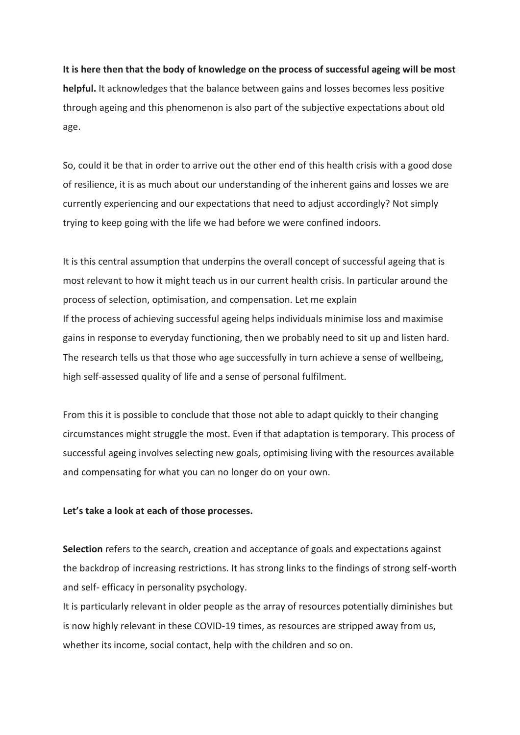## **It is here then that the body of knowledge on the process of successful ageing will be most**

**helpful.** It acknowledges that the balance between gains and losses becomes less positive through ageing and this phenomenon is also part of the subjective expectations about old age.

So, could it be that in order to arrive out the other end of this health crisis with a good dose of resilience, it is as much about our understanding of the inherent gains and losses we are currently experiencing and our expectations that need to adjust accordingly? Not simply trying to keep going with the life we had before we were confined indoors.

It is this central assumption that underpins the overall concept of successful ageing that is most relevant to how it might teach us in our current health crisis. In particular around the process of selection, optimisation, and compensation. Let me explain If the process of achieving successful ageing helps individuals minimise loss and maximise gains in response to everyday functioning, then we probably need to sit up and listen hard. The research tells us that those who age successfully in turn achieve a sense of wellbeing, high self-assessed quality of life and a sense of personal fulfilment.

From this it is possible to conclude that those not able to adapt quickly to their changing circumstances might struggle the most. Even if that adaptation is temporary. This process of successful ageing involves selecting new goals, optimising living with the resources available and compensating for what you can no longer do on your own.

### **Let's take a look at each of those processes.**

**Selection** refers to the search, creation and acceptance of goals and expectations against the backdrop of increasing restrictions. It has strong links to the findings of strong self-worth and self- efficacy in personality psychology.

It is particularly relevant in older people as the array of resources potentially diminishes but is now highly relevant in these COVID-19 times, as resources are stripped away from us, whether its income, social contact, help with the children and so on.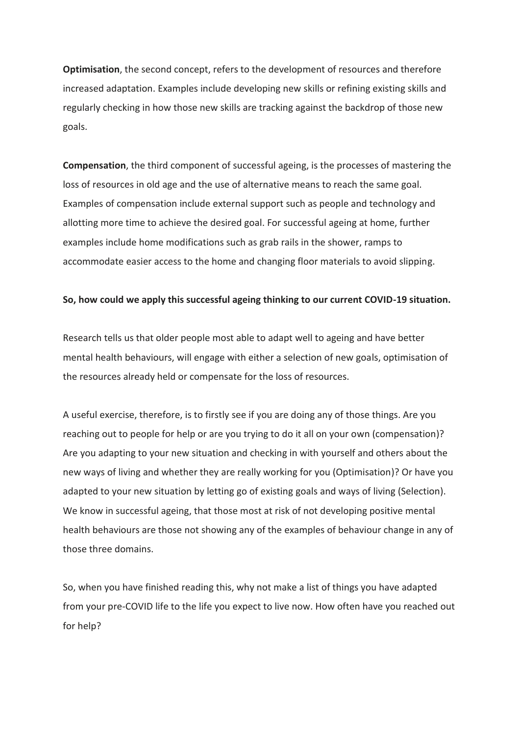**Optimisation**, the second concept, refers to the development of resources and therefore increased adaptation. Examples include developing new skills or refining existing skills and regularly checking in how those new skills are tracking against the backdrop of those new goals.

**Compensation**, the third component of successful ageing, is the processes of mastering the loss of resources in old age and the use of alternative means to reach the same goal. Examples of compensation include external support such as people and technology and allotting more time to achieve the desired goal. For successful ageing at home, further examples include home modifications such as grab rails in the shower, ramps to accommodate easier access to the home and changing floor materials to avoid slipping.

#### **So, how could we apply this successful ageing thinking to our current COVID-19 situation.**

Research tells us that older people most able to adapt well to ageing and have better mental health behaviours, will engage with either a selection of new goals, optimisation of the resources already held or compensate for the loss of resources.

A useful exercise, therefore, is to firstly see if you are doing any of those things. Are you reaching out to people for help or are you trying to do it all on your own (compensation)? Are you adapting to your new situation and checking in with yourself and others about the new ways of living and whether they are really working for you (Optimisation)? Or have you adapted to your new situation by letting go of existing goals and ways of living (Selection). We know in successful ageing, that those most at risk of not developing positive mental health behaviours are those not showing any of the examples of behaviour change in any of those three domains.

So, when you have finished reading this, why not make a list of things you have adapted from your pre-COVID life to the life you expect to live now. How often have you reached out for help?